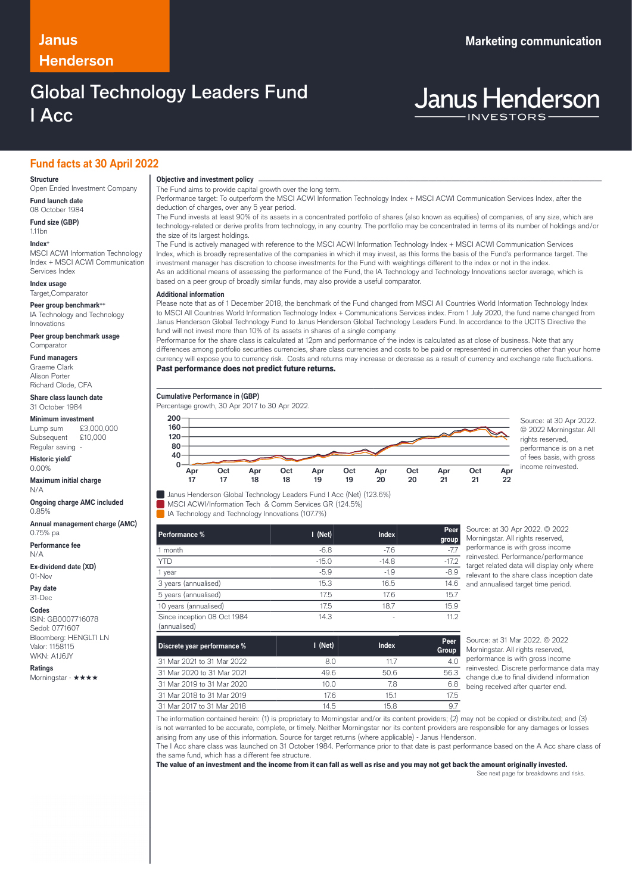## **Janus Marketing communication Henderson**

# Global Technology Leaders Fund I Acc

# **Janus Henderson**

### **Fund facts at 30 April 2022**

#### **Structure**

Open Ended Investment Company **Fund launch date**

08 October 1984

**Fund size (GBP)** 1.11bn

#### **Index+**

MSCI ACWI Information Technology Index + MSCI ACWI Communication Services Index

**Index usage** Target,Comparator

**Peer group benchmark++** IA Technology and Technology

Innovations **Peer group benchmark usage** Comparator

**Fund managers** Graeme Clark

Alison Porter Richard Clode, CFA **Share class launch date**

31 October 1984

### **Minimum investment**<br>Lump sum 63,000,000

Lump sum £3,000,000<br>Subsequent £10,000 Subsequent Regular saving

**Historic yield\*** 0.00%

#### **Maximum initial charge**

N/A **Ongoing charge AMC included** 0.85%

**Annual management charge (AMC)** 0.75% pa

**Performance fee** N/A

**Ex-dividend date (XD)** 01-Nov

**Pay date**

31-Dec

**Codes**

ISIN: GB0007716078 Sedol: 0771607 Bloomberg: HENGLTI LN Valor: 1158115 WKN: A1J6JY

**Ratings** Morningstar - ★★★★ **Objective and investment policy** ────────────────────────────────────────────────────────────────────────────────────────────────────────────────────────────────────────────────────────────────────────────────────────────────────────────────────────────────────────────────────────────────────────────────────────────────────────────────────────────────────────────────────────────────────────────────────────────────────────────────────────────────────────────────────────────────────────────────────────────────────────────────────

The Fund aims to provide capital growth over the long term.

Performance target: To outperform the MSCI ACWI Information Technology Index + MSCI ACWI Communication Services Index, after the deduction of charges, over any 5 year period. The Fund invests at least 90% of its assets in a concentrated portfolio of shares (also known as equities) of companies, of any size, which are

technology-related or derive profits from technology, in any country. The portfolio may be concentrated in terms of its number of holdings and/or the size of its largest holdings.

The Fund is actively managed with reference to the MSCI ACWI Information Technology Index + MSCI ACWI Communication Services Index, which is broadly representative of the companies in which it may invest, as this forms the basis of the Fund's performance target. The investment manager has discretion to choose investments for the Fund with weightings different to the index or not in the index. As an additional means of assessing the performance of the Fund, the IA Technology and Technology Innovations sector average, which is based on a peer group of broadly similar funds, may also provide a useful comparator. …

#### **Additional information**

Please note that as of 1 December 2018, the benchmark of the Fund changed from MSCI All Countries World Information Technology Index to MSCI All Countries World Information Technology Index + Communications Services index. From 1 July 2020, the fund name changed from Janus Henderson Global Technology Fund to Janus Henderson Global Technology Leaders Fund. In accordance to the UCITS Directive the fund will not invest more than 10% of its assets in shares of a single company.

Performance for the share class is calculated at 12pm and performance of the index is calculated as at close of business. Note that any differences among portfolio securities currencies, share class currencies and costs to be paid or represented in currencies other than your home currency will expose you to currency risk. Costs and returns may increase or decrease as a result of currency and exchange rate fluctuations. Past performance does not predict future returns.

#### **Cumulative Performance in (GBP)**

Percentage growth, 30 Apr 2017 to 30 Apr 2022.



© 2022 Morningstar. All rights reserved, performance is on a net of fees basis, with gross income reinvested.

Janus Henderson Global Technology Leaders Fund I Acc (Net) (123.6%)

**MSCI ACWI/Information Tech & Comm Services GR (124.5%)** 

IA Technology and Technology Innovations (107.7%)

| Performance %                               | $I$ (Net) | <b>Index</b> | Peer<br>group |
|---------------------------------------------|-----------|--------------|---------------|
| 1 month                                     | $-6.8$    | $-7.6$       | $-77$         |
| <b>YTD</b>                                  | $-15.0$   | $-14.8$      | $-17.2$       |
| 1 year                                      | $-5.9$    | $-1.9$       | $-8.9$        |
| 3 years (annualised)                        | 15.3      | 16.5         | 14.6<br>ć     |
| 5 years (annualised)                        | 17.5      | 17.6         | 15.7          |
| 10 years (annualised)                       | 17.5      | 18.7         | 15.9          |
| Since inception 08 Oct 1984<br>(annualised) | 14.3      | ٠            | 11.2          |

Source: at 30 Apr 2022. © 2022 Morningstar, All rights reserved. performance is with gross income reinvested. Performance/performance target related data will display only where relevant to the share class inception date and annualised target time period.

| Discrete year performance % | $I$ (Net) | Index | Peer<br>Group |
|-----------------------------|-----------|-------|---------------|
| 31 Mar 2021 to 31 Mar 2022  | 8.0       | 117   | 4.0           |
| 31 Mar 2020 to 31 Mar 2021  | 49.6      | 50.6  | 56.3          |
| 31 Mar 2019 to 31 Mar 2020  | 10.0      | 7.8   | 6.8           |
| 31 Mar 2018 to 31 Mar 2019  | 17.6      | 15.1  | 17.5          |
| 31 Mar 2017 to 31 Mar 2018  | 14.5      | 15.8  | 9.7           |

Source: at 31 Mar 2022. © 2022 Morningstar. All rights reserved, performance is with gross income reinvested. Discrete performance data may change due to final dividend information being received after quarter end.

The information contained herein: (1) is proprietary to Morningstar and/or its content providers; (2) may not be copied or distributed; and (3) is not warranted to be accurate, complete, or timely. Neither Morningstar nor its content providers are responsible for any damages or losses arising from any use of this information. Source for target returns (where applicable) - Janus Henderson.

The I Acc share class was launched on 31 October 1984. Performance prior to that date is past performance based on the A Acc share class of the same fund, which has a different fee structure.

The value of an investment and the income from it can fall as well as rise and you may not get back the amount originally invested.

See next page for breakdowns and risks.